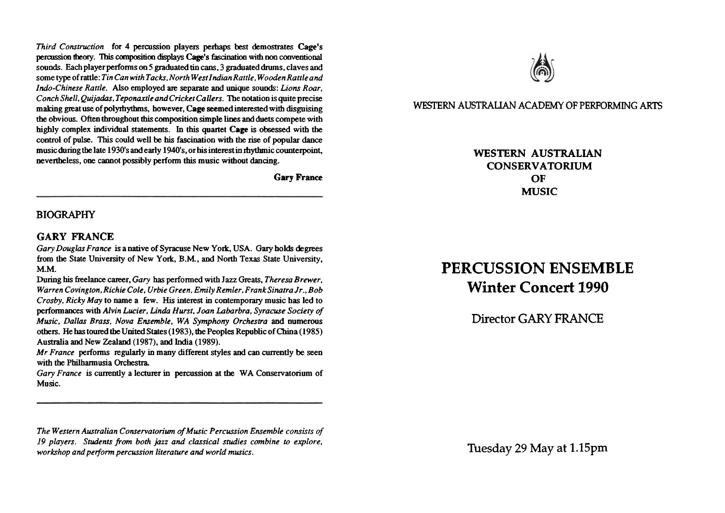*Third Construction* for *4* percussion players perhaps best demostrates Cage's **percussion** tfieory. This **composition displays Cage's** hchtion with non **conventional**  sounds. Each player performs on 5 graduated **tin cans,** 3 graduated drums, claves and some type ofrattle: *Tin Can with Tacks, North WestIndianRattle, WoodenRattleand Indo-Chinese Rattle.* Also employed *are* separate and unique sounds: *Lions Roar. Conch Shell, Quijadas, Teponaxtle and Cricket Callers.* The notation is quite precise making great use of polyrhythms, however, Cage seemed interested with disguising the obvious. Often throughout **this** composition simple lines **and** duets compete with highly complex **individual** statements. In this quartet Cage is obsessed with the control of pulse. This could well be his fascination **witb** the rise of popular **dance**  music during the late 1930's and early 1940's, or his interest in rhythmic counterpoint, nevertheless, one cannot possibly perform this music without dancing.

**Gary France** 

## **BIOGRAPHY**

### *GARY* **FRANCE**

*Gary Douglas France* is a native of Syracuse New Yo\*, USA. **Gary** holds degrees from the State University of New York, B.M., and North Texas State University, **M.M.** 

During his freelance career, *Gary* has performed with Jazz Greats, *Theresa Brewer, Warren Covington, Richie Cole, Urbie Green. Emily Remler, FrankSinatra Jr., Bob Crosby, Ricky May* to name a few. **His** interest in contemporary music has led to performances **witb** *Alvin Lucier. Lindo Hurst, Joan Labarbra, Syracuse Society of Music. Dallas Brass, Nova Ensemble, WA Symphony 0rchesb.a* **and** numerous others. He has toured the United States (1983), the Peoples Republic of China (1985) Australia and New **Zealand** (1987), **and** India (1989).

*Mr France* performs regularly in many different styles **and** can currently be seen with the Philharmusia Orchestra.

*Gary France* is currently a lecturer in percussion at the WA Conservatorium of Music.

*The Western Australian Conservatorim of Music Percussion Ensemble consists of 19 players. Students from both jazz and classical studies combine to explore. workshop and perfonn percussion literature and world musics.* Tuesday 29 May at **1.15pm** 



**WESTERN AUSTRALIAN ACADEMY OF PERFORMING ARTS** 

**WESTERN AUSTRALIAN CONSERVATORIUM OF MUSIC** 

# **PERCUSSION ENSEMBLE Winter Concert 1990**

Director GARY FRANCE